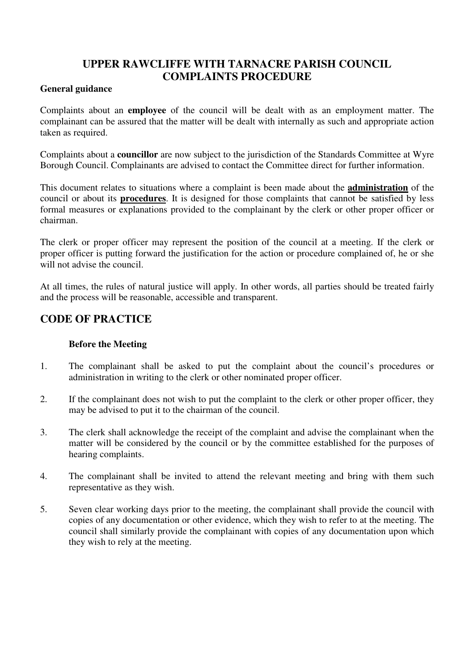# **UPPER RAWCLIFFE WITH TARNACRE PARISH COUNCIL COMPLAINTS PROCEDURE**

### **General guidance**

Complaints about an **employee** of the council will be dealt with as an employment matter. The complainant can be assured that the matter will be dealt with internally as such and appropriate action taken as required.

Complaints about a **councillor** are now subject to the jurisdiction of the Standards Committee at Wyre Borough Council. Complainants are advised to contact the Committee direct for further information.

This document relates to situations where a complaint is been made about the **administration** of the council or about its **procedures**. It is designed for those complaints that cannot be satisfied by less formal measures or explanations provided to the complainant by the clerk or other proper officer or chairman.

The clerk or proper officer may represent the position of the council at a meeting. If the clerk or proper officer is putting forward the justification for the action or procedure complained of, he or she will not advise the council.

At all times, the rules of natural justice will apply. In other words, all parties should be treated fairly and the process will be reasonable, accessible and transparent.

## **CODE OF PRACTICE**

## **Before the Meeting**

- 1. The complainant shall be asked to put the complaint about the council's procedures or administration in writing to the clerk or other nominated proper officer.
- 2. If the complainant does not wish to put the complaint to the clerk or other proper officer, they may be advised to put it to the chairman of the council.
- 3. The clerk shall acknowledge the receipt of the complaint and advise the complainant when the matter will be considered by the council or by the committee established for the purposes of hearing complaints.
- 4. The complainant shall be invited to attend the relevant meeting and bring with them such representative as they wish.
- 5. Seven clear working days prior to the meeting, the complainant shall provide the council with copies of any documentation or other evidence, which they wish to refer to at the meeting. The council shall similarly provide the complainant with copies of any documentation upon which they wish to rely at the meeting.